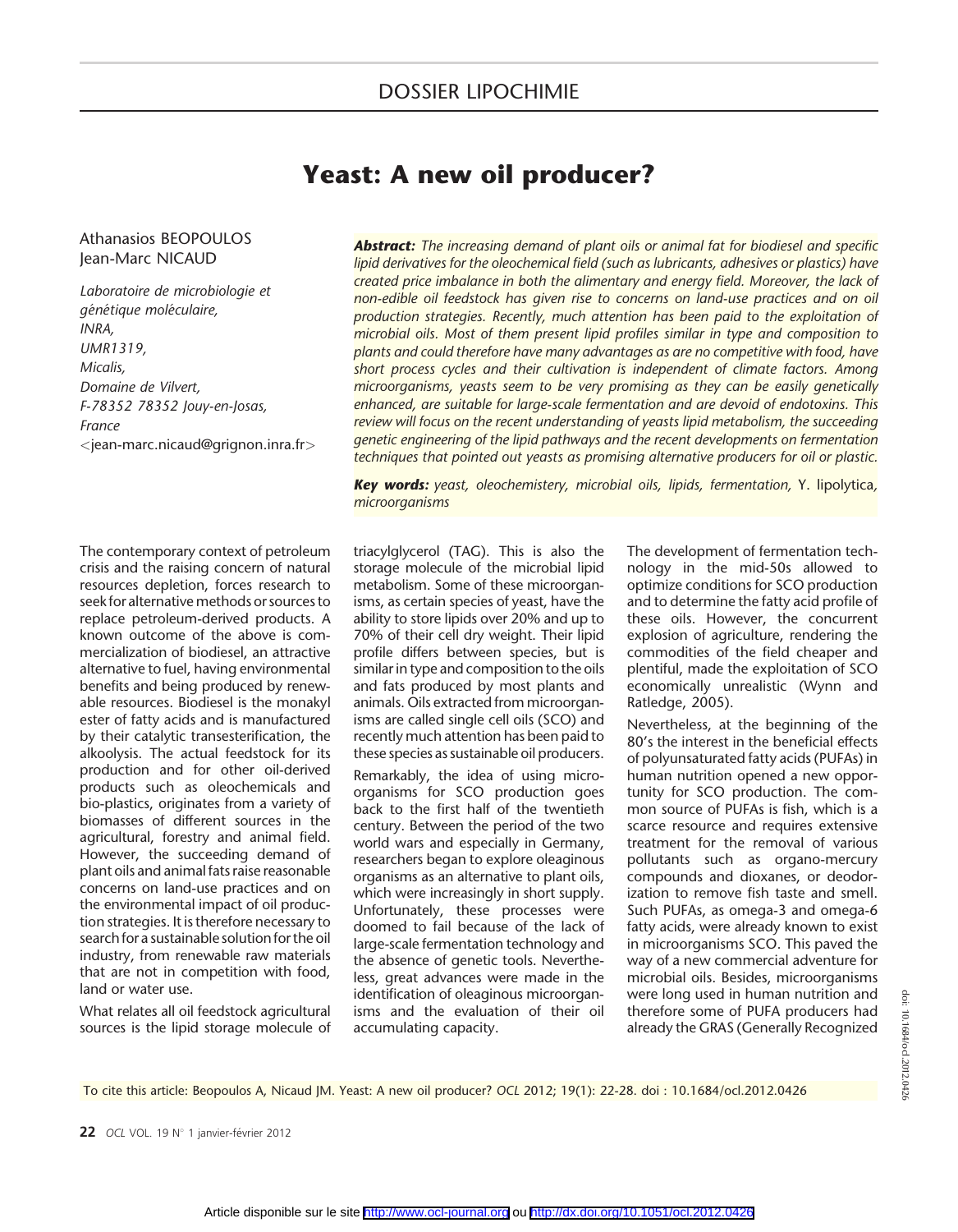# Yeast: A new oil producer?

#### Athanasios BEOPOULOS Jean-Marc NICAUD

Laboratoire de microbiologie et génétique moléculaire, INRA, UMR1319, Micalis, Domaine de Vilvert, F-78352 78352 Jouy-en-Josas, France <jean-marc.nicaud@grignon.inra.fr>

The contemporary context of petroleum crisis and the raising concern of natural resources depletion, forces research to seek for alternative methods or sources to replace petroleum-derived products. A known outcome of the above is commercialization of biodiesel, an attractive alternative to fuel, having environmental benefits and being produced by renewable resources. Biodiesel is the monakyl ester of fatty acids and is manufactured by their catalytic transesterification, the alkoolysis. The actual feedstock for its production and for other oil-derived products such as oleochemicals and bio-plastics, originates from a variety of biomasses of different sources in the agricultural, forestry and animal field. However, the succeeding demand of plant oils and animal fats raise reasonable concerns on land-use practices and on the environmental impact of oil production strategies. It is therefore necessary to search for a sustainable solution for the oil industry, from renewable raw materials that are not in competition with food, land or water use.

What relates all oil feedstock agricultural sources is the lipid storage molecule of

**Abstract:** The increasing demand of plant oils or animal fat for biodiesel and specific lipid derivatives for the oleochemical field (such as lubricants, adhesives or plastics) have created price imbalance in both the alimentary and energy field. Moreover, the lack of non-edible oil feedstock has given rise to concerns on land-use practices and on oil production strategies. Recently, much attention has been paid to the exploitation of microbial oils. Most of them present lipid profiles similar in type and composition to plants and could therefore have many advantages as are no competitive with food, have short process cycles and their cultivation is independent of climate factors. Among microorganisms, yeasts seem to be very promising as they can be easily genetically enhanced, are suitable for large-scale fermentation and are devoid of endotoxins. This review will focus on the recent understanding of yeasts lipid metabolism, the succeeding genetic engineering of the lipid pathways and the recent developments on fermentation techniques that pointed out yeasts as promising alternative producers for oil or plastic.

Key words: yeast, oleochemistery, microbial oils, lipids, fermentation, Y. lipolytica, microorganisms

triacylglycerol (TAG). This is also the storage molecule of the microbial lipid metabolism. Some of these microorganisms, as certain species of yeast, have the ability to store lipids over 20% and up to 70% of their cell dry weight. Their lipid profile differs between species, but is similar in type and composition to the oils and fats produced by most plants and animals. Oils extracted from microorganisms are called single cell oils (SCO) and recently much attention has been paid to these species as sustainable oil producers.

Remarkably, the idea of using microorganisms for SCO production goes back to the first half of the twentieth century. Between the period of the two world wars and especially in Germany, researchers began to explore oleaginous organisms as an alternative to plant oils, which were increasingly in short supply. Unfortunately, these processes were doomed to fail because of the lack of large-scale fermentation technology and the absence of genetic tools. Nevertheless, great advances were made in the identification of oleaginous microorganisms and the evaluation of their oil accumulating capacity.

The development of fermentation technology in the mid-50s allowed to optimize conditions for SCO production and to determine the fatty acid profile of these oils. However, the concurrent explosion of agriculture, rendering the commodities of the field cheaper and plentiful, made the exploitation of SCO economically unrealistic (Wynn and Ratledge, 2005).

Nevertheless, at the beginning of the 80's the interest in the beneficial effects of polyunsaturated fatty acids (PUFAs) in human nutrition opened a new opportunity for SCO production. The common source of PUFAs is fish, which is a scarce resource and requires extensive treatment for the removal of various pollutants such as organo-mercury compounds and dioxanes, or deodorization to remove fish taste and smell. Such PUFAs, as omega-3 and omega-6 fatty acids, were already known to exist in microorganisms SCO. This paved the way of a new commercial adventure for microbial oils. Besides, microorganisms were long used in human nutrition and therefore some of PUFA producers had already the GRAS (Generally Recognized

To cite this article: Beopoulos A, Nicaud JM. Yeast: A new oil producer? OCL 2012; 19(1): 22-28. doi : 10.1684/ocl.2012.0426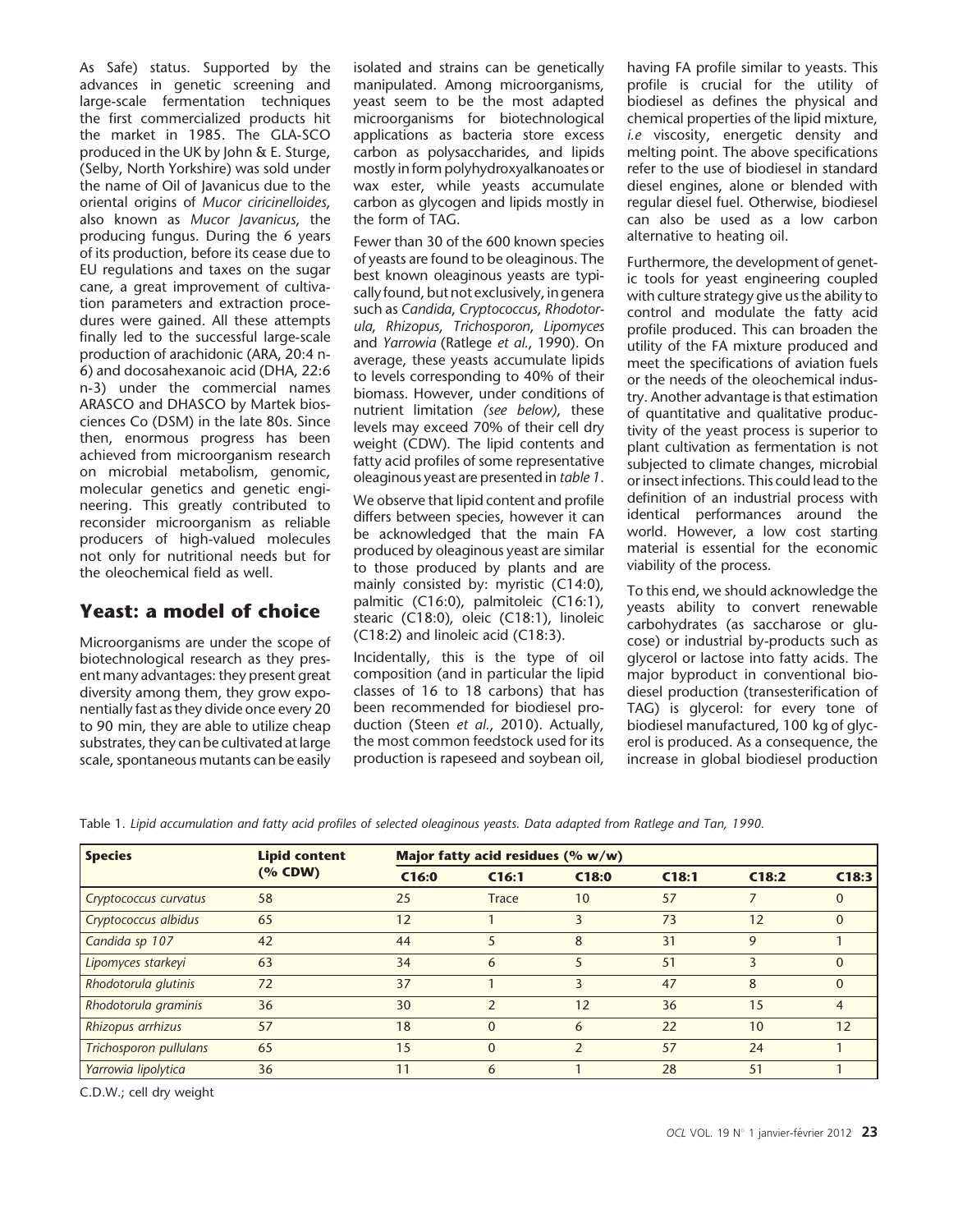As Safe) status. Supported by the advances in genetic screening and large-scale fermentation techniques the first commercialized products hit the market in 1985. The GLA-SCO produced in the UK by John & E. Sturge, (Selby, North Yorkshire) was sold under the name of Oil of Javanicus due to the oriental origins of Mucor ciricinelloides, also known as Mucor Javanicus, the producing fungus. During the 6 years of its production, before its cease due to EU regulations and taxes on the sugar cane, a great improvement of cultivation parameters and extraction procedures were gained. All these attempts finally led to the successful large-scale production of arachidonic (ARA, 20:4 n-6) and docosahexanoic acid (DHA, 22:6 n-3) under the commercial names ARASCO and DHASCO by Martek biosciences Co (DSM) in the late 80s. Since then, enormous progress has been achieved from microorganism research on microbial metabolism, genomic, molecular genetics and genetic engineering. This greatly contributed to reconsider microorganism as reliable producers of high-valued molecules not only for nutritional needs but for the oleochemical field as well.

## Yeast: a model of choice

Microorganisms are under the scope of biotechnological research as they present many advantages: they present great diversity among them, they grow exponentially fast as they divide once every 20 to 90 min, they are able to utilize cheap substrates, they can be cultivated at large scale, spontaneous mutants can be easily

isolated and strains can be genetically manipulated. Among microorganisms, yeast seem to be the most adapted microorganisms for biotechnological applications as bacteria store excess carbon as polysaccharides, and lipids mostly in form polyhydroxyalkanoates or wax ester, while yeasts accumulate carbon as glycogen and lipids mostly in the form of TAG.

Fewer than 30 of the 600 known species of yeasts are found to be oleaginous. The best known oleaginous yeasts are typicallyfound, but not exclusively, in genera such as Candida, Cryptococcus, Rhodotorula, Rhizopus, Trichosporon, Lipomyces and Yarrowia (Ratlege et al., 1990). On average, these yeasts accumulate lipids to levels corresponding to 40% of their biomass. However, under conditions of nutrient limitation (see below), these levels may exceed 70% of their cell dry weight (CDW). The lipid contents and fatty acid profiles of some representative oleaginous yeast are presented in table 1.

We observe that lipid content and profile differs between species, however it can be acknowledged that the main FA produced by oleaginous yeast are similar to those produced by plants and are mainly consisted by: myristic (C14:0), palmitic (C16:0), palmitoleic (C16:1), stearic (C18:0), oleic (C18:1), linoleic (C18:2) and linoleic acid (C18:3).

Incidentally, this is the type of oil composition (and in particular the lipid classes of 16 to 18 carbons) that has been recommended for biodiesel production (Steen et al., 2010). Actually, the most common feedstock used for its production is rapeseed and soybean oil,

having FA profile similar to yeasts. This profile is crucial for the utility of biodiesel as defines the physical and chemical properties of the lipid mixture, i.e viscosity, energetic density and melting point. The above specifications refer to the use of biodiesel in standard diesel engines, alone or blended with regular diesel fuel. Otherwise, biodiesel can also be used as a low carbon alternative to heating oil.

Furthermore, the development of genetic tools for yeast engineering coupled with culture strategy give us the ability to control and modulate the fatty acid profile produced. This can broaden the utility of the FA mixture produced and meet the specifications of aviation fuels or the needs of the oleochemical industry. Another advantage is that estimation of quantitative and qualitative productivity of the yeast process is superior to plant cultivation as fermentation is not subjected to climate changes, microbial or insect infections. This could lead to the definition of an industrial process with identical performances around the world. However, a low cost starting material is essential for the economic viability of the process.

To this end, we should acknowledge the yeasts ability to convert renewable carbohydrates (as saccharose or glucose) or industrial by-products such as glycerol or lactose into fatty acids. The major byproduct in conventional biodiesel production (transesterification of TAG) is glycerol: for every tone of biodiesel manufactured, 100 kg of glycerol is produced. As a consequence, the increase in global biodiesel production

Table 1. Lipid accumulation and fatty acid profiles of selected oleaginous yeasts. Data adapted from Ratlege and Tan, 1990.

| <b>Species</b>         | <b>Lipid content</b><br>(% CDW) | Major fatty acid residues (% $w/w$ ) |              |               |       |       |              |
|------------------------|---------------------------------|--------------------------------------|--------------|---------------|-------|-------|--------------|
|                        |                                 | C16:0                                | C16:1        | C18:0         | C18:1 | C18:2 | C18:3        |
| Cryptococcus curvatus  | 58                              | 25                                   | <b>Trace</b> | 10            | 57    |       | $\Omega$     |
| Cryptococcus albidus   | 65                              | 12                                   |              | 3             | 73    | 12    | $\mathbf{0}$ |
| Candida sp 107         | 42                              | 44                                   | 5            | 8             | 31    | 9     |              |
| Lipomyces starkeyi     | 63                              | 34                                   | 6            | 5             | 51    | 3     | $\Omega$     |
| Rhodotorula glutinis   | 72                              | 37                                   |              | $\mathbf{R}$  | 47    | 8     | $\Omega$     |
| Rhodotorula graminis   | 36                              | 30                                   | ำ            | 12            | 36    | 15    | 4            |
| Rhizopus arrhizus      | 57                              | 18                                   | $\Omega$     | 6             | 22    | 10    | 12           |
| Trichosporon pullulans | 65                              | 15                                   | $\Omega$     | $\mathcal{P}$ | 57    | 24    |              |
| Yarrowia lipolytica    | 36                              | 11                                   | 6            |               | 28    | 51    |              |

C.D.W.; cell dry weight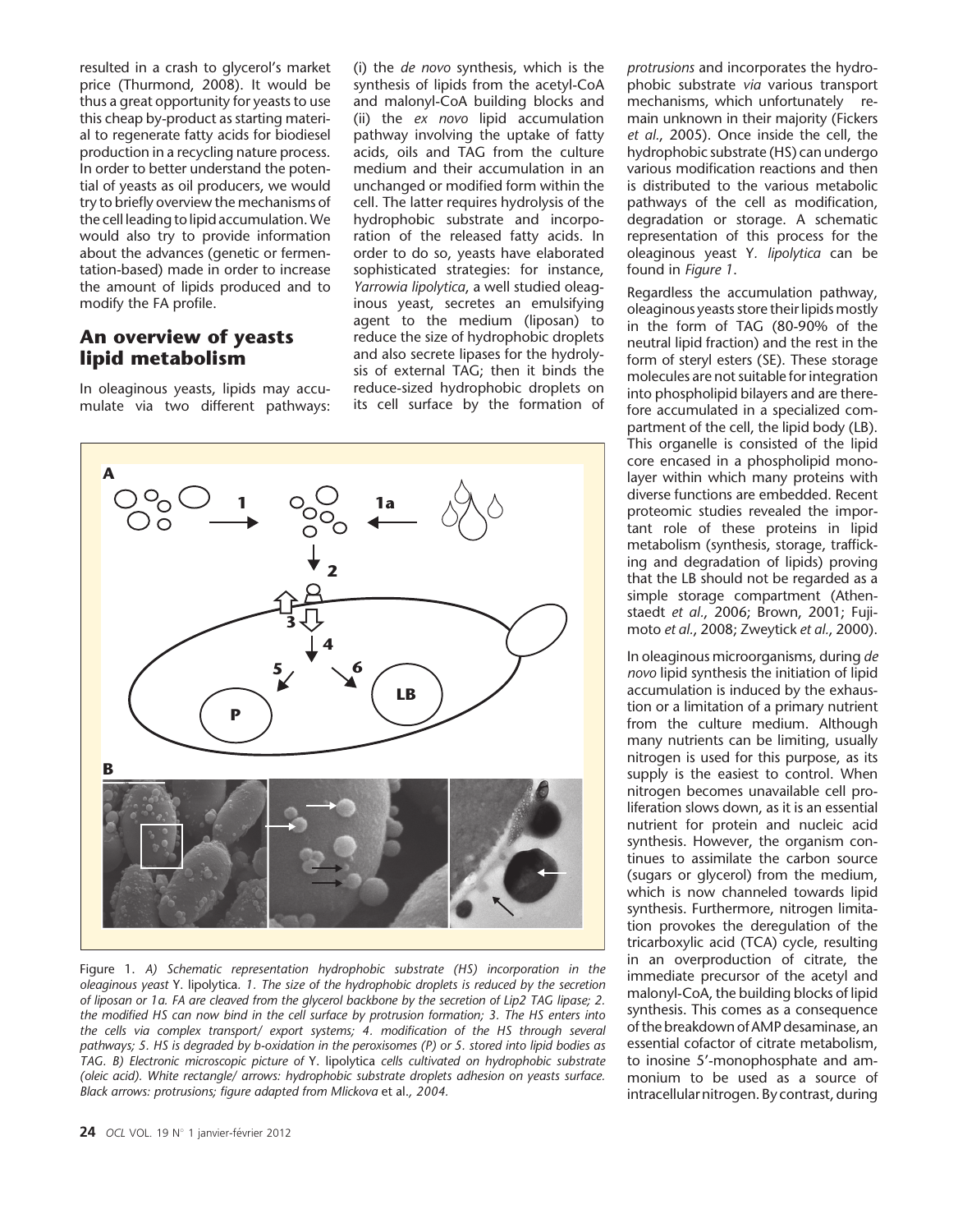resulted in a crash to glycerol's market price (Thurmond, 2008). It would be thus a great opportunity for yeasts to use this cheap by-product as starting material to regenerate fatty acids for biodiesel production in a recycling nature process. In order to better understand the potential of yeasts as oil producers, we would try to briefly overview the mechanisms of the cell leading to lipid accumulation.We would also try to provide information about the advances (genetic or fermentation-based) made in order to increase the amount of lipids produced and to modify the FA profile.

#### An overview of yeasts lipid metabolism

In oleaginous yeasts, lipids may accumulate via two different pathways:

(i) the de novo synthesis, which is the synthesis of lipids from the acetyl-CoA and malonyl-CoA building blocks and (ii) the ex novo lipid accumulation pathway involving the uptake of fatty acids, oils and TAG from the culture medium and their accumulation in an unchanged or modified form within the cell. The latter requires hydrolysis of the hydrophobic substrate and incorporation of the released fatty acids. In order to do so, yeasts have elaborated sophisticated strategies: for instance, Yarrowia lipolytica, a well studied oleaginous yeast, secretes an emulsifying agent to the medium (liposan) to reduce the size of hydrophobic droplets and also secrete lipases for the hydrolysis of external TAG; then it binds the reduce-sized hydrophobic droplets on its cell surface by the formation of



Figure 1. A) Schematic representation hydrophobic substrate (HS) incorporation in the oleaginous yeast Y. lipolytica. 1. The size of the hydrophobic droplets is reduced by the secretion of liposan or 1a. FA are cleaved from the glycerol backbone by the secretion of Lip2 TAG lipase; 2. the modified HS can now bind in the cell surface by protrusion formation; 3. The HS enters into the cells via complex transport/ export systems; 4. modification of the HS through several pathways; 5. HS is degraded by b-oxidation in the peroxisomes (P) or 5. stored into lipid bodies as TAG. B) Electronic microscopic picture of Y. lipolytica cells cultivated on hydrophobic substrate (oleic acid). White rectangle/ arrows: hydrophobic substrate droplets adhesion on yeasts surface. Black arrows: protrusions; figure adapted from Mlickova et al., 2004.

protrusions and incorporates the hydrophobic substrate via various transport mechanisms, which unfortunately remain unknown in their majority (Fickers et al., 2005). Once inside the cell, the hydrophobic substrate (HS) can undergo various modification reactions and then is distributed to the various metabolic pathways of the cell as modification, degradation or storage. A schematic representation of this process for the oleaginous yeast Y. lipolytica can be found in Figure 1.

Regardless the accumulation pathway, oleaginous yeasts store their lipids mostly in the form of TAG (80-90% of the neutral lipid fraction) and the rest in the form of steryl esters (SE). These storage molecules are not suitable for integration into phospholipid bilayers and are therefore accumulated in a specialized compartment of the cell, the lipid body (LB). This organelle is consisted of the lipid core encased in a phospholipid monolayer within which many proteins with diverse functions are embedded. Recent proteomic studies revealed the important role of these proteins in lipid metabolism (synthesis, storage, trafficking and degradation of lipids) proving that the LB should not be regarded as a simple storage compartment (Athenstaedt et al., 2006; Brown, 2001; Fujimoto et al., 2008; Zweytick et al., 2000).

In oleaginous microorganisms, during de novo lipid synthesis the initiation of lipid accumulation is induced by the exhaustion or a limitation of a primary nutrient from the culture medium. Although many nutrients can be limiting, usually nitrogen is used for this purpose, as its supply is the easiest to control. When nitrogen becomes unavailable cell proliferation slows down, as it is an essential nutrient for protein and nucleic acid synthesis. However, the organism continues to assimilate the carbon source (sugars or glycerol) from the medium, which is now channeled towards lipid synthesis. Furthermore, nitrogen limitation provokes the deregulation of the tricarboxylic acid (TCA) cycle, resulting in an overproduction of citrate, the immediate precursor of the acetyl and malonyl-CoA, the building blocks of lipid synthesis. This comes as a consequence of the breakdown of AMP desaminase, an essential cofactor of citrate metabolism, to inosine 5'-monophosphate and ammonium to be used as a source of intracellular nitrogen. By contrast, during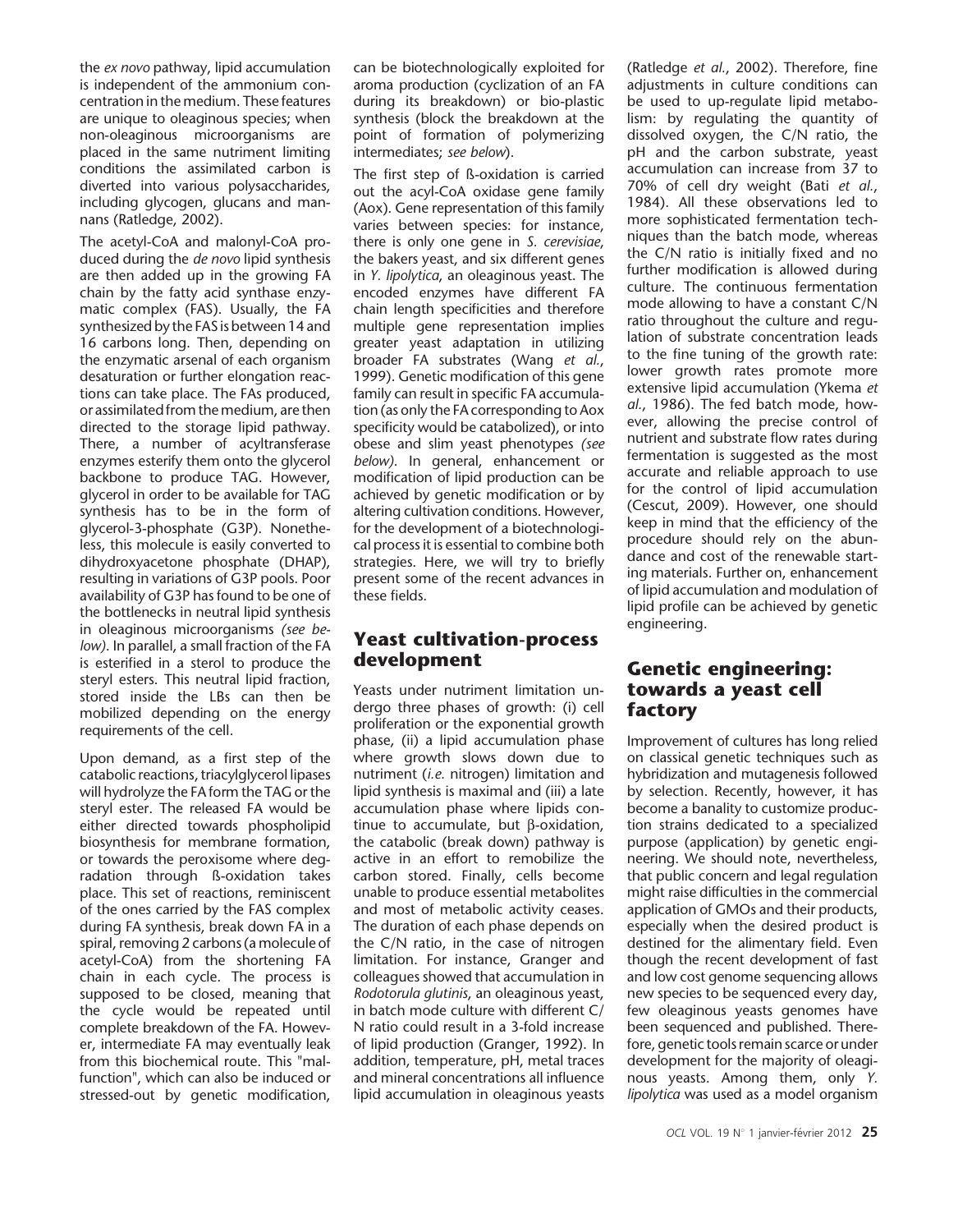the ex novo pathway, lipid accumulation is independent of the ammonium concentration in the medium. These features are unique to oleaginous species; when non-oleaginous microorganisms are placed in the same nutriment limiting conditions the assimilated carbon is diverted into various polysaccharides, including glycogen, glucans and mannans (Ratledge, 2002).

The acetyl-CoA and malonyl-CoA produced during the de novo lipid synthesis are then added up in the growing FA chain by the fatty acid synthase enzymatic complex (FAS). Usually, the FA synthesized by the FAS is between 14 and 16 carbons long. Then, depending on the enzymatic arsenal of each organism desaturation or further elongation reactions can take place. The FAs produced, or assimilatedfrom the medium, are then directed to the storage lipid pathway. There, a number of acyltransferase enzymes esterify them onto the glycerol backbone to produce TAG. However, glycerol in order to be available for TAG synthesis has to be in the form of glycerol-3-phosphate (G3P). Nonetheless, this molecule is easily converted to dihydroxyacetone phosphate (DHAP), resulting in variations of G3P pools. Poor availability of G3P has found to be one of the bottlenecks in neutral lipid synthesis in oleaginous microorganisms (see below). In parallel, a small fraction of the FA is esterified in a sterol to produce the steryl esters. This neutral lipid fraction, stored inside the LBs can then be mobilized depending on the energy requirements of the cell.

Upon demand, as a first step of the catabolic reactions, triacylglycerol lipases will hydrolyze the FA form the TAG or the steryl ester. The released FA would be either directed towards phospholipid biosynthesis for membrane formation, or towards the peroxisome where degradation through ß-oxidation takes place. This set of reactions, reminiscent of the ones carried by the FAS complex during FA synthesis, break down FA in a spiral, removing 2 carbons (a molecule of acetyl-CoA) from the shortening FA chain in each cycle. The process is supposed to be closed, meaning that the cycle would be repeated until complete breakdown of the FA. However, intermediate FA may eventually leak from this biochemical route. This "malfunction", which can also be induced or stressed-out by genetic modification,

can be biotechnologically exploited for aroma production (cyclization of an FA during its breakdown) or bio-plastic synthesis (block the breakdown at the point of formation of polymerizing intermediates; see below).

The first step of ß-oxidation is carried out the acyl-CoA oxidase gene family (Aox). Gene representation of this family varies between species: for instance, there is only one gene in S. cerevisiae, the bakers yeast, and six different genes in Y. lipolytica, an oleaginous yeast. The encoded enzymes have different FA chain length specificities and therefore multiple gene representation implies greater yeast adaptation in utilizing broader FA substrates (Wang et al., 1999). Genetic modification of this gene family can result in specific FA accumulation (as only the FA corresponding to Aox specificity would be catabolized), or into obese and slim yeast phenotypes (see below). In general, enhancement or modification of lipid production can be achieved by genetic modification or by altering cultivation conditions. However, for the development of a biotechnological process it is essential to combine both strategies. Here, we will try to briefly present some of the recent advances in these fields.

#### Yeast cultivation-process development

Yeasts under nutriment limitation undergo three phases of growth: (i) cell proliferation or the exponential growth phase, (ii) a lipid accumulation phase where growth slows down due to nutriment (i.e. nitrogen) limitation and lipid synthesis is maximal and (iii) a late accumulation phase where lipids continue to accumulate, but  $\beta$ -oxidation, the catabolic (break down) pathway is active in an effort to remobilize the carbon stored. Finally, cells become unable to produce essential metabolites and most of metabolic activity ceases. The duration of each phase depends on the C/N ratio, in the case of nitrogen limitation. For instance, Granger and colleagues showed that accumulation in Rodotorula glutinis, an oleaginous yeast, in batch mode culture with different C/ N ratio could result in a 3-fold increase of lipid production (Granger, 1992). In addition, temperature, pH, metal traces and mineral concentrations all influence lipid accumulation in oleaginous yeasts

(Ratledge et al., 2002). Therefore, fine adiustments in culture conditions can be used to up-regulate lipid metabolism: by regulating the quantity of dissolved oxygen, the C/N ratio, the pH and the carbon substrate, yeast accumulation can increase from 37 to 70% of cell dry weight (Bati et al., 1984). All these observations led to more sophisticated fermentation techniques than the batch mode, whereas the C/N ratio is initially fixed and no further modification is allowed during culture. The continuous fermentation mode allowing to have a constant C/N ratio throughout the culture and regulation of substrate concentration leads to the fine tuning of the growth rate: lower growth rates promote more extensive lipid accumulation (Ykema et al., 1986). The fed batch mode, however, allowing the precise control of nutrient and substrate flow rates during fermentation is suggested as the most accurate and reliable approach to use for the control of lipid accumulation (Cescut, 2009). However, one should keep in mind that the efficiency of the procedure should rely on the abundance and cost of the renewable starting materials. Further on, enhancement of lipid accumulation and modulation of lipid profile can be achieved by genetic engineering.

## Genetic engineering: towards a yeast cell factory

Improvement of cultures has long relied on classical genetic techniques such as hybridization and mutagenesis followed by selection. Recently, however, it has become a banality to customize production strains dedicated to a specialized purpose (application) by genetic engineering. We should note, nevertheless, that public concern and legal regulation might raise difficulties in the commercial application of GMOs and their products, especially when the desired product is destined for the alimentary field. Even though the recent development of fast and low cost genome sequencing allows new species to be sequenced every day, few oleaginous yeasts genomes have been sequenced and published. Therefore, genetic tools remain scarce or under development for the majority of oleaginous yeasts. Among them, only Y. lipolytica was used as a model organism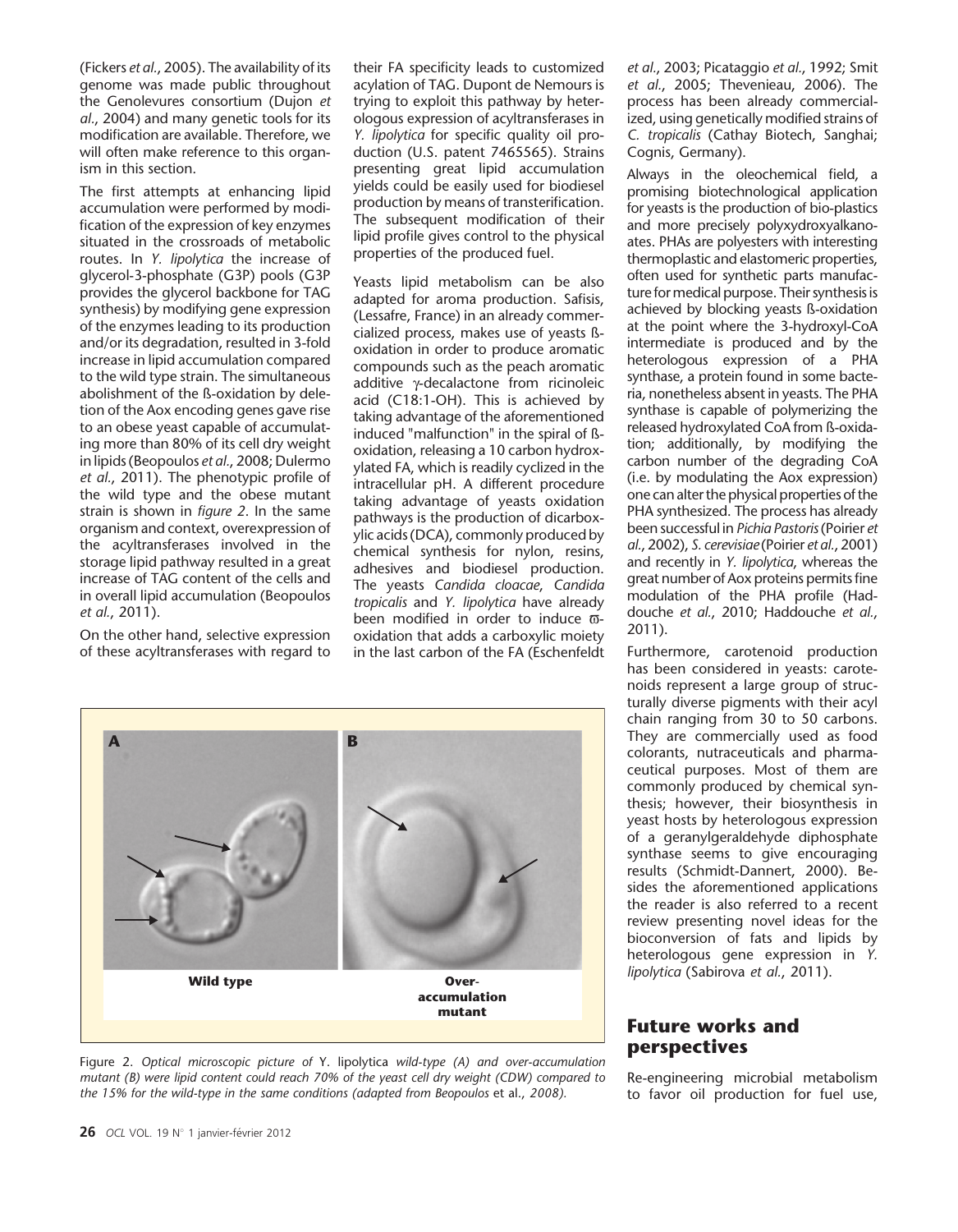(Fickers et al., 2005). The availability of its genome was made public throughout the Genolevures consortium (Dujon et al., 2004) and many genetic tools for its modification are available. Therefore, we will often make reference to this organism in this section.

The first attempts at enhancing lipid accumulation were performed by modification of the expression of key enzymes situated in the crossroads of metabolic routes. In Y. lipolytica the increase of glycerol-3-phosphate (G3P) pools (G3P provides the glycerol backbone for TAG synthesis) by modifying gene expression of the enzymes leading to its production and/or its degradation, resulted in 3-fold increase in lipid accumulation compared to the wild type strain. The simultaneous abolishment of the ß-oxidation by deletion of the Aox encoding genes gave rise to an obese yeast capable of accumulating more than 80% of its cell dry weight in lipids (Beopoulos et al., 2008; Dulermo et al., 2011). The phenotypic profile of the wild type and the obese mutant strain is shown in figure 2. In the same organism and context, overexpression of the acyltransferases involved in the storage lipid pathway resulted in a great increase of TAG content of the cells and in overall lipid accumulation (Beopoulos et al., 2011).

On the other hand, selective expression of these acyltransferases with regard to

their FA specificity leads to customized acylation of TAG. Dupont de Nemours is trying to exploit this pathway by heterologous expression of acyltransferases in Y. lipolytica for specific quality oil production (U.S. patent 7465565). Strains presenting great lipid accumulation yields could be easily used for biodiesel production by means of transterification. The subsequent modification of their lipid profile gives control to the physical properties of the produced fuel.

Yeasts lipid metabolism can be also adapted for aroma production. Safisis, (Lessafre, France) in an already commercialized process, makes use of yeasts ßoxidation in order to produce aromatic compounds such as the peach aromatic additive  $\gamma$ -decalactone from ricinoleic acid (C18:1-OH). This is achieved by taking advantage of the aforementioned induced "malfunction" in the spiral of ßoxidation, releasing a 10 carbon hydroxylated FA, which is readily cyclized in the intracellular pH. A different procedure taking advantage of yeasts oxidation pathways is the production of dicarboxylic acids (DCA), commonly produced by chemical synthesis for nylon, resins, adhesives and biodiesel production. The yeasts Candida cloacae, Candida tropicalis and Y. lipolytica have already been modified in order to induce  $\overline{\omega}$ oxidation that adds a carboxylic moiety in the last carbon of the FA (Eschenfeldt



Figure 2. Optical microscopic picture of Y. lipolytica wild-type (A) and over-accumulation mutant (B) were lipid content could reach 70% of the yeast cell dry weight (CDW) compared to the 15% for the wild-type in the same conditions (adapted from Beopoulos et al., 2008).

et al., 2003; Picataggio et al., 1992; Smit et al., 2005; Thevenieau, 2006). The process has been already commercialized, using genetically modified strains of C. tropicalis (Cathay Biotech, Sanghai; Cognis, Germany).

Always in the oleochemical field, a promising biotechnological application for yeasts is the production of bio-plastics and more precisely polyxydroxyalkanoates. PHAs are polyesters with interesting thermoplastic and elastomeric properties, often used for synthetic parts manufacture for medical purpose. Their synthesis is achieved by blocking yeasts ß-oxidation at the point where the 3-hydroxyl-CoA intermediate is produced and by the heterologous expression of a PHA synthase, a protein found in some bacteria, nonetheless absent in yeasts. The PHA synthase is capable of polymerizing the released hydroxylated CoA from ß-oxidation; additionally, by modifying the carbon number of the degrading CoA (i.e. by modulating the Aox expression) one can alter the physical properties of the PHA synthesized. The process has already been successful in Pichia Pastoris(Poirier et al., 2002), S. cerevisiae (Poirier et al., 2001) and recently in Y. lipolytica, whereas the great number of Aox proteins permits fine modulation of the PHA profile (Haddouche et al., 2010; Haddouche et al., 2011).

Furthermore, carotenoid production has been considered in yeasts: carotenoids represent a large group of structurally diverse pigments with their acyl chain ranging from 30 to 50 carbons. They are commercially used as food colorants, nutraceuticals and pharmaceutical purposes. Most of them are commonly produced by chemical synthesis; however, their biosynthesis in yeast hosts by heterologous expression of a geranylgeraldehyde diphosphate synthase seems to give encouraging results (Schmidt-Dannert, 2000). Besides the aforementioned applications the reader is also referred to a recent review presenting novel ideas for the bioconversion of fats and lipids by heterologous gene expression in Y. lipolytica (Sabirova et al., 2011).

#### Future works and perspectives

Re-engineering microbial metabolism to favor oil production for fuel use,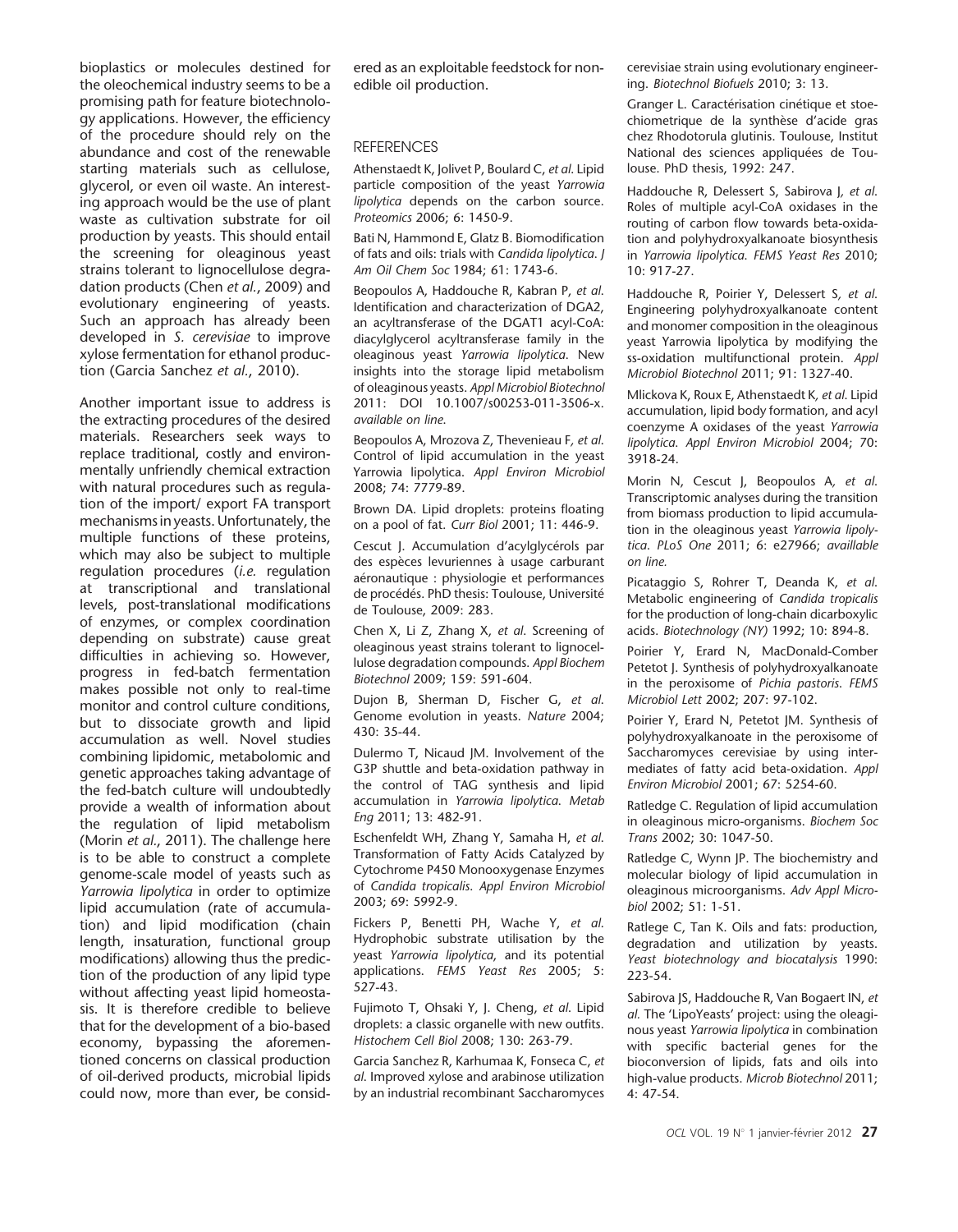bioplastics or molecules destined for the oleochemical industry seems to be a promising path for feature biotechnology applications. However, the efficiency of the procedure should rely on the abundance and cost of the renewable starting materials such as cellulose, glycerol, or even oil waste. An interesting approach would be the use of plant waste as cultivation substrate for oil production by yeasts. This should entail the screening for oleaginous yeast strains tolerant to lignocellulose degradation products (Chen et al., 2009) and evolutionary engineering of yeasts. Such an approach has already been developed in S. cerevisiae to improve xylose fermentation for ethanol production (Garcia Sanchez et al., 2010).

Another important issue to address is the extracting procedures of the desired materials. Researchers seek ways to replace traditional, costly and environmentally unfriendly chemical extraction with natural procedures such as regulation of the import/ export FA transport mechanisms in yeasts. Unfortunately, the multiple functions of these proteins, which may also be subject to multiple regulation procedures (i.e. regulation at transcriptional and translational levels, post-translational modifications of enzymes, or complex coordination depending on substrate) cause great difficulties in achieving so. However, progress in fed-batch fermentation makes possible not only to real-time monitor and control culture conditions, but to dissociate growth and lipid accumulation as well. Novel studies combining lipidomic, metabolomic and genetic approaches taking advantage of the fed-batch culture will undoubtedly provide a wealth of information about the regulation of lipid metabolism (Morin et al., 2011). The challenge here is to be able to construct a complete genome-scale model of yeasts such as Yarrowia lipolytica in order to optimize lipid accumulation (rate of accumulation) and lipid modification (chain length, insaturation, functional group modifications) allowing thus the prediction of the production of any lipid type without affecting yeast lipid homeostasis. It is therefore credible to believe that for the development of a bio-based economy, bypassing the aforementioned concerns on classical production of oil-derived products, microbial lipids could now, more than ever, be consid-

ered as an exploitable feedstock for nonedible oil production.

#### **REFERENCES**

Athenstaedt K, Jolivet P, Boulard C, et al. Lipid particle composition of the yeast Yarrowia lipolytica depends on the carbon source. Proteomics 2006; 6: 1450-9.

Bati N, Hammond E, Glatz B. Biomodification of fats and oils: trials with Candida lipolytica. J Am Oil Chem Soc 1984; 61: 1743-6.

Beopoulos A, Haddouche R, Kabran P, et al. Identification and characterization of DGA2, an acyltransferase of the DGAT1 acyl-CoA: diacylglycerol acyltransferase family in the oleaginous yeast Yarrowia lipolytica. New insights into the storage lipid metabolism of oleaginous yeasts. Appl Microbiol Biotechnol 2011: DOI 10.1007/s00253-011-3506-x. available on line.

Beopoulos A, Mrozova Z, Thevenieau F, et al. Control of lipid accumulation in the yeast Yarrowia lipolytica. Appl Environ Microbiol 2008; 74: 7779-89.

Brown DA. Lipid droplets: proteins floating on a pool of fat. Curr Biol 2001; 11: 446-9.

Cescut J. Accumulation d'acylglyc erols par des espèces levuriennes à usage carburant aéronautique : physiologie et performances de procédés. PhD thesis: Toulouse, Université de Toulouse, 2009: 283.

Chen X, Li Z, Zhang X, et al. Screening of oleaginous yeast strains tolerant to lignocellulose degradation compounds. Appl Biochem Biotechnol 2009; 159: 591-604.

Dujon B, Sherman D, Fischer G, et al. Genome evolution in yeasts. Nature 2004; 430: 35-44.

Dulermo T, Nicaud JM. Involvement of the G3P shuttle and beta-oxidation pathway in the control of TAG synthesis and lipid accumulation in Yarrowia lipolytica. Metab Eng 2011; 13: 482-91.

Eschenfeldt WH, Zhang Y, Samaha H, et al. Transformation of Fatty Acids Catalyzed by Cytochrome P450 Monooxygenase Enzymes of Candida tropicalis. Appl Environ Microbiol 2003; 69: 5992-9.

Fickers P, Benetti PH, Wache Y, et al. Hydrophobic substrate utilisation by the yeast Yarrowia lipolytica, and its potential applications. FEMS Yeast Res 2005; 5: 527-43.

Fujimoto T, Ohsaki Y, J. Cheng, et al. Lipid droplets: a classic organelle with new outfits. Histochem Cell Biol 2008; 130: 263-79.

Garcia Sanchez R, Karhumaa K, Fonseca C, et al. Improved xylose and arabinose utilization by an industrial recombinant Saccharomyces cerevisiae strain using evolutionary engineering. Biotechnol Biofuels 2010; 3: 13.

Granger L. Caractérisation cinétique et stoechiometrique de la synthèse d'acide gras chez Rhodotorula glutinis. Toulouse, Institut National des sciences appliquées de Toulouse. PhD thesis, 1992: 247.

Haddouche R, Delessert S, Sabirova J, et al. Roles of multiple acyl-CoA oxidases in the routing of carbon flow towards beta-oxidation and polyhydroxyalkanoate biosynthesis in Yarrowia lipolytica. FEMS Yeast Res 2010; 10: 917-27.

Haddouche R, Poirier Y, Delessert S, et al. Engineering polyhydroxyalkanoate content and monomer composition in the oleaginous yeast Yarrowia lipolytica by modifying the ss-oxidation multifunctional protein. Appl Microbiol Biotechnol 2011; 91: 1327-40.

Mlickova K, Roux E, Athenstaedt K, et al. Lipid accumulation, lipid body formation, and acyl coenzyme A oxidases of the yeast Yarrowia lipolytica. Appl Environ Microbiol 2004; 70: 3918-24.

Morin N, Cescut J, Beopoulos A, et al. Transcriptomic analyses during the transition from biomass production to lipid accumulation in the oleaginous yeast Yarrowia lipolytica. PLoS One 2011; 6: e27966; availlable on line.

Picataggio S, Rohrer T, Deanda K, et al. Metabolic engineering of Candida tropicalis for the production of long-chain dicarboxylic acids. Biotechnology (NY) 1992; 10: 894-8.

Poirier Y, Erard N, MacDonald-Comber Petetot J. Synthesis of polyhydroxyalkanoate in the peroxisome of Pichia pastoris. FEMS Microbiol Lett 2002; 207: 97-102.

Poirier Y, Erard N, Petetot JM. Synthesis of polyhydroxyalkanoate in the peroxisome of Saccharomyces cerevisiae by using intermediates of fatty acid beta-oxidation. Appl Environ Microbiol 2001; 67: 5254-60.

Ratledge C. Regulation of lipid accumulation in oleaginous micro-organisms. Biochem Soc Trans 2002; 30: 1047-50.

Ratledge C, Wynn JP. The biochemistry and molecular biology of lipid accumulation in oleaginous microorganisms. Adv Appl Microbiol 2002; 51: 1-51.

Ratlege C, Tan K. Oils and fats: production, degradation and utilization by yeasts. Yeast biotechnology and biocatalysis 1990: 223-54.

Sabirova JS, Haddouche R, Van Bogaert IN, et al. The 'LipoYeasts' project: using the oleaginous yeast Yarrowia lipolytica in combination with specific bacterial genes for the bioconversion of lipids, fats and oils into high-value products. Microb Biotechnol 2011; 4: 47-54.